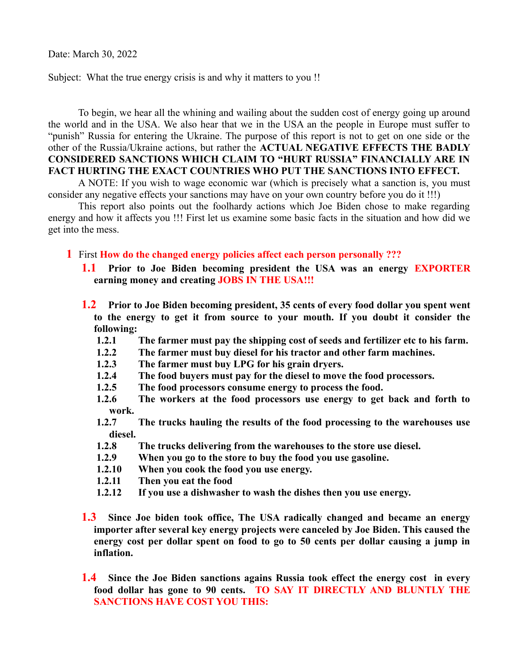Date: March 30, 2022

Subject: What the true energy crisis is and why it matters to you !!

To begin, we hear all the whining and wailing about the sudden cost of energy going up around the world and in the USA. We also hear that we in the USA an the people in Europe must suffer to "punish" Russia for entering the Ukraine. The purpose of this report is not to get on one side or the other of the Russia/Ukraine actions, but rather the **ACTUAL NEGATIVE EFFECTS THE BADLY CONSIDERED SANCTIONS WHICH CLAIM TO "HURT RUSSIA" FINANCIALLY ARE IN FACT HURTING THE EXACT COUNTRIES WHO PUT THE SANCTIONS INTO EFFECT.** 

A NOTE: If you wish to wage economic war (which is precisely what a sanction is, you must consider any negative effects your sanctions may have on your own country before you do it !!!)

This report also points out the foolhardy actions which Joe Biden chose to make regarding energy and how it affects you !!! First let us examine some basic facts in the situation and how did we get into the mess.

- **1** First **How do the changed energy policies affect each person personally ???**
	- **1.1 Prior to Joe Biden becoming president the USA was an energy EXPORTER earning money and creating JOBS IN THE USA!!!**
	- **1.2 Prior to Joe Biden becoming president, 35 cents of every food dollar you spent went to the energy to get it from source to your mouth. If you doubt it consider the following:**
		- **1.2.1 The farmer must pay the shipping cost of seeds and fertilizer etc to his farm.**
		- **1.2.2 The farmer must buy diesel for his tractor and other farm machines.**
		- **1.2.3 The farmer must buy LPG for his grain dryers.**
		- **1.2.4 The food buyers must pay for the diesel to move the food processors.**
		- **1.2.5 The food processors consume energy to process the food.**
		- **1.2.6 The workers at the food processors use energy to get back and forth to work.**
		- **1.2.7 The trucks hauling the results of the food processing to the warehouses use diesel.**
		- **1.2.8 The trucks delivering from the warehouses to the store use diesel.**
		- **1.2.9 When you go to the store to buy the food you use gasoline.**
		- **1.2.10 When you cook the food you use energy.**
		- **1.2.11 Then you eat the food**
		- **1.2.12 If you use a dishwasher to wash the dishes then you use energy.**
	- **1.3 Since Joe biden took office, The USA radically changed and became an energy importer after several key energy projects were canceled by Joe Biden. This caused the energy cost per dollar spent on food to go to 50 cents per dollar causing a jump in inflation.**
	- **1.4 Since the Joe Biden sanctions agains Russia took effect the energy cost in every food dollar has gone to 90 cents. TO SAY IT DIRECTLY AND BLUNTLY THE SANCTIONS HAVE COST YOU THIS:**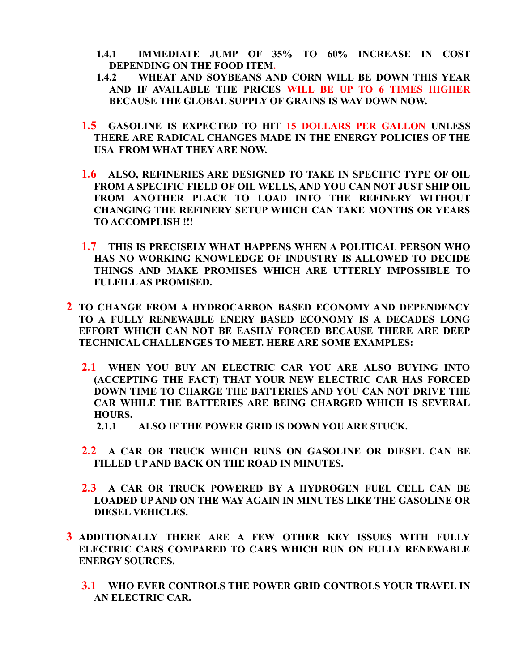- **1.4.1 IMMEDIATE JUMP OF 35% TO 60% INCREASE IN COST DEPENDING ON THE FOOD ITEM.**
- **1.4.2 WHEAT AND SOYBEANS AND CORN WILL BE DOWN THIS YEAR AND IF AVAILABLE THE PRICES WILL BE UP TO 6 TIMES HIGHER BECAUSE THE GLOBAL SUPPLY OF GRAINS IS WAY DOWN NOW.**
- **1.5 GASOLINE IS EXPECTED TO HIT 15 DOLLARS PER GALLON UNLESS THERE ARE RADICAL CHANGES MADE IN THE ENERGY POLICIES OF THE USA FROM WHAT THEY ARE NOW.**
- **1.6 ALSO, REFINERIES ARE DESIGNED TO TAKE IN SPECIFIC TYPE OF OIL FROM A SPECIFIC FIELD OF OIL WELLS, AND YOU CAN NOT JUST SHIP OIL FROM ANOTHER PLACE TO LOAD INTO THE REFINERY WITHOUT CHANGING THE REFINERY SETUP WHICH CAN TAKE MONTHS OR YEARS TO ACCOMPLISH !!!**
- **1.7 THIS IS PRECISELY WHAT HAPPENS WHEN A POLITICAL PERSON WHO HAS NO WORKING KNOWLEDGE OF INDUSTRY IS ALLOWED TO DECIDE THINGS AND MAKE PROMISES WHICH ARE UTTERLY IMPOSSIBLE TO FULFILL AS PROMISED.**
- **2 TO CHANGE FROM A HYDROCARBON BASED ECONOMY AND DEPENDENCY TO A FULLY RENEWABLE ENERY BASED ECONOMY IS A DECADES LONG EFFORT WHICH CAN NOT BE EASILY FORCED BECAUSE THERE ARE DEEP TECHNICAL CHALLENGES TO MEET. HERE ARE SOME EXAMPLES:**
	- **2.1 WHEN YOU BUY AN ELECTRIC CAR YOU ARE ALSO BUYING INTO (ACCEPTING THE FACT) THAT YOUR NEW ELECTRIC CAR HAS FORCED DOWN TIME TO CHARGE THE BATTERIES AND YOU CAN NOT DRIVE THE CAR WHILE THE BATTERIES ARE BEING CHARGED WHICH IS SEVERAL HOURS.**
		- **2.1.1 ALSO IF THE POWER GRID IS DOWN YOU ARE STUCK.**
	- **2.2 A CAR OR TRUCK WHICH RUNS ON GASOLINE OR DIESEL CAN BE FILLED UP AND BACK ON THE ROAD IN MINUTES.**
	- **2.3 A CAR OR TRUCK POWERED BY A HYDROGEN FUEL CELL CAN BE LOADED UP AND ON THE WAY AGAIN IN MINUTES LIKE THE GASOLINE OR DIESEL VEHICLES.**
- **3 ADDITIONALLY THERE ARE A FEW OTHER KEY ISSUES WITH FULLY ELECTRIC CARS COMPARED TO CARS WHICH RUN ON FULLY RENEWABLE ENERGY SOURCES.**
	- **3.1 WHO EVER CONTROLS THE POWER GRID CONTROLS YOUR TRAVEL IN AN ELECTRIC CAR.**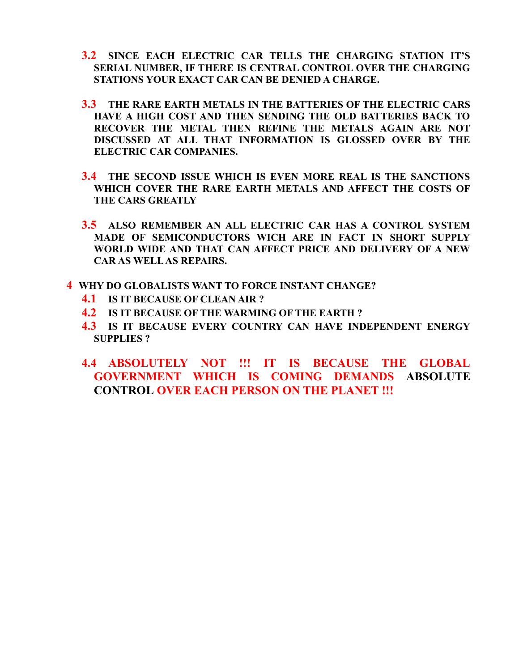- **3.2 SINCE EACH ELECTRIC CAR TELLS THE CHARGING STATION IT'S SERIAL NUMBER, IF THERE IS CENTRAL CONTROL OVER THE CHARGING STATIONS YOUR EXACT CAR CAN BE DENIED A CHARGE.**
- **3.3 THE RARE EARTH METALS IN THE BATTERIES OF THE ELECTRIC CARS HAVE A HIGH COST AND THEN SENDING THE OLD BATTERIES BACK TO RECOVER THE METAL THEN REFINE THE METALS AGAIN ARE NOT DISCUSSED AT ALL THAT INFORMATION IS GLOSSED OVER BY THE ELECTRIC CAR COMPANIES.**
- **3.4 THE SECOND ISSUE WHICH IS EVEN MORE REAL IS THE SANCTIONS WHICH COVER THE RARE EARTH METALS AND AFFECT THE COSTS OF THE CARS GREATLY**
- **3.5 ALSO REMEMBER AN ALL ELECTRIC CAR HAS A CONTROL SYSTEM MADE OF SEMICONDUCTORS WICH ARE IN FACT IN SHORT SUPPLY WORLD WIDE AND THAT CAN AFFECT PRICE AND DELIVERY OF A NEW CAR AS WELL AS REPAIRS.**
- **4 WHY DO GLOBALISTS WANT TO FORCE INSTANT CHANGE?**
	- **4.1 IS IT BECAUSE OF CLEAN AIR ?**
	- **4.2 IS IT BECAUSE OF THE WARMING OF THE EARTH ?**
	- **4.3 IS IT BECAUSE EVERY COUNTRY CAN HAVE INDEPENDENT ENERGY SUPPLIES ?**
	- **4.4 ABSOLUTELY NOT !!! IT IS BECAUSE THE GLOBAL GOVERNMENT WHICH IS COMING DEMANDS ABSOLUTE CONTROL OVER EACH PERSON ON THE PLANET !!!**